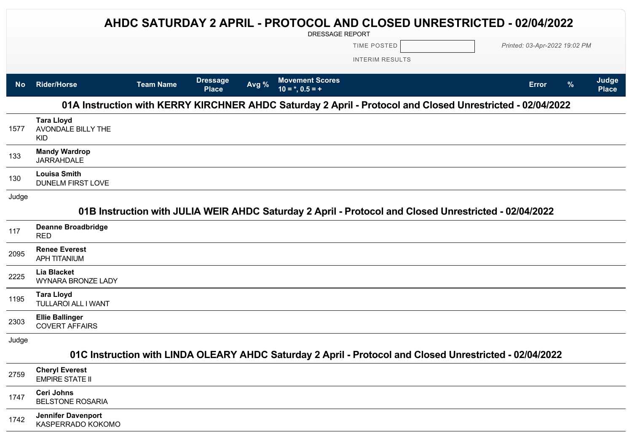|           |                                                                                                           |                  |                                 |       | AHDC SATURDAY 2 APRIL - PROTOCOL AND CLOSED UNRESTRICTED - 02/04/2022<br>DRESSAGE REPORT                |                        |  |              |                               |                       |
|-----------|-----------------------------------------------------------------------------------------------------------|------------------|---------------------------------|-------|---------------------------------------------------------------------------------------------------------|------------------------|--|--------------|-------------------------------|-----------------------|
|           |                                                                                                           |                  |                                 |       |                                                                                                         | TIME POSTED            |  |              | Printed: 03-Apr-2022 19:02 PM |                       |
|           |                                                                                                           |                  |                                 |       |                                                                                                         | <b>INTERIM RESULTS</b> |  |              |                               |                       |
| <b>No</b> | <b>Rider/Horse</b>                                                                                        | <b>Team Name</b> | <b>Dressage</b><br><b>Place</b> | Avg % | <b>Movement Scores</b><br>$10 = *, 0.5 = +$                                                             |                        |  | <b>Error</b> | $\frac{9}{6}$                 | Judge<br><b>Place</b> |
|           | 01A Instruction with KERRY KIRCHNER AHDC Saturday 2 April - Protocol and Closed Unrestricted - 02/04/2022 |                  |                                 |       |                                                                                                         |                        |  |              |                               |                       |
| 1577      | <b>Tara Lloyd</b><br>AVONDALE BILLY THE<br><b>KID</b>                                                     |                  |                                 |       |                                                                                                         |                        |  |              |                               |                       |
| 133       | <b>Mandy Wardrop</b><br><b>JARRAHDALE</b>                                                                 |                  |                                 |       |                                                                                                         |                        |  |              |                               |                       |
| 130       | <b>Louisa Smith</b><br><b>DUNELM FIRST LOVE</b>                                                           |                  |                                 |       |                                                                                                         |                        |  |              |                               |                       |
| Judge     |                                                                                                           |                  |                                 |       |                                                                                                         |                        |  |              |                               |                       |
|           |                                                                                                           |                  |                                 |       | 01B Instruction with JULIA WEIR AHDC Saturday 2 April - Protocol and Closed Unrestricted - 02/04/2022   |                        |  |              |                               |                       |
| 117       | <b>Deanne Broadbridge</b><br><b>RED</b>                                                                   |                  |                                 |       |                                                                                                         |                        |  |              |                               |                       |
| 2095      | <b>Renee Everest</b><br><b>APH TITANIUM</b>                                                               |                  |                                 |       |                                                                                                         |                        |  |              |                               |                       |
| 2225      | <b>Lia Blacket</b><br><b>WYNARA BRONZE LADY</b>                                                           |                  |                                 |       |                                                                                                         |                        |  |              |                               |                       |
| 1195      | <b>Tara Lloyd</b><br><b>TULLAROI ALL I WANT</b>                                                           |                  |                                 |       |                                                                                                         |                        |  |              |                               |                       |
| 2303      | <b>Ellie Ballinger</b><br><b>COVERT AFFAIRS</b>                                                           |                  |                                 |       |                                                                                                         |                        |  |              |                               |                       |
| Judge     |                                                                                                           |                  |                                 |       |                                                                                                         |                        |  |              |                               |                       |
|           |                                                                                                           |                  |                                 |       | 01C Instruction with LINDA OLEARY AHDC Saturday 2 April - Protocol and Closed Unrestricted - 02/04/2022 |                        |  |              |                               |                       |
| 2759      | <b>Cheryl Everest</b><br><b>EMPIRE STATE II</b>                                                           |                  |                                 |       |                                                                                                         |                        |  |              |                               |                       |
| 1747      | <b>Ceri Johns</b><br><b>BELSTONE ROSARIA</b>                                                              |                  |                                 |       |                                                                                                         |                        |  |              |                               |                       |
|           | $10 - 50$                                                                                                 |                  |                                 |       |                                                                                                         |                        |  |              |                               |                       |

**Jennifer Davenport**<br>1742 *LARPERBARG KOK* KASPERRADO KOKOMO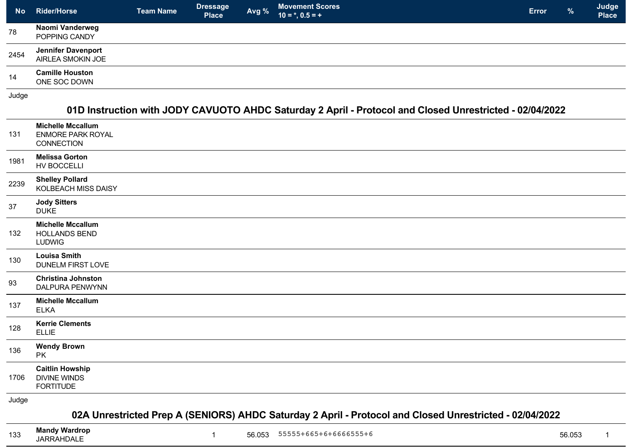| <b>No</b> | <b>Rider/Horse</b>                             | <b>Team Name</b> | <b>Dressage</b><br><b>Place</b> | Avg % | <b>Movement Scores</b><br>$10 = *, 0.5 = +$ | <b>Error</b> | $\frac{9}{6}$ | Judge<br><b>Place</b> |
|-----------|------------------------------------------------|------------------|---------------------------------|-------|---------------------------------------------|--------------|---------------|-----------------------|
| 78        | Naomi Vanderweg<br>POPPING CANDY               |                  |                                 |       |                                             |              |               |                       |
| 2454      | <b>Jennifer Davenport</b><br>AIRLEA SMOKIN JOE |                  |                                 |       |                                             |              |               |                       |
| 14        | <b>Camille Houston</b><br>ONE SOC DOWN         |                  |                                 |       |                                             |              |               |                       |

Judge

## **01D Instruction with JODY CAVUOTO AHDC Saturday 2 April - Protocol and Closed Unrestricted - 02/04/2022**

| 131   | <b>Michelle Mccallum</b><br><b>ENMORE PARK ROYAL</b><br><b>CONNECTION</b> |
|-------|---------------------------------------------------------------------------|
| 1981  | <b>Melissa Gorton</b><br>HV BOCCELLI                                      |
| 2239  | <b>Shelley Pollard</b><br>KOLBEACH MISS DAISY                             |
| 37    | <b>Jody Sitters</b><br><b>DUKE</b>                                        |
| 132   | <b>Michelle Mccallum</b><br><b>HOLLANDS BEND</b><br><b>LUDWIG</b>         |
| 130   | <b>Louisa Smith</b><br>DUNELM FIRST LOVE                                  |
| 93    | <b>Christina Johnston</b><br>DALPURA PENWYNN                              |
| 137   | <b>Michelle Mccallum</b><br><b>ELKA</b>                                   |
| 128   | <b>Kerrie Clements</b><br><b>ELLIE</b>                                    |
| 136   | <b>Wendy Brown</b><br><b>PK</b>                                           |
| 1706  | <b>Caitlin Howship</b><br><b>DIVINE WINDS</b><br><b>FORTITUDE</b>         |
| Judge |                                                                           |

## **02A Unrestricted Prep A (SENIORS) AHDC Saturday 2 April - Protocol and Closed Unrestricted - 02/04/2022**

<sup>133</sup> **Mandy Wardrop**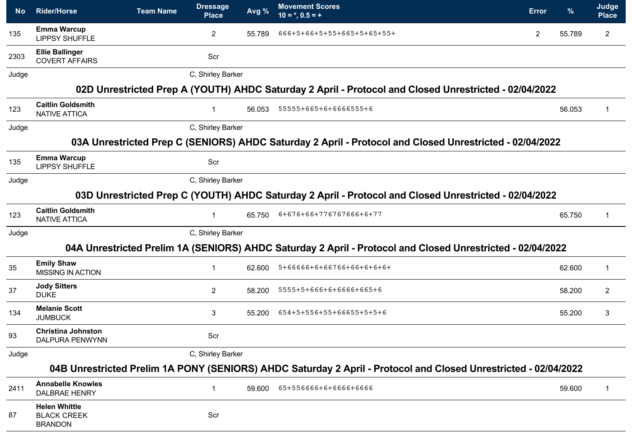| <b>No</b> | <b>Rider/Horse</b>                                           | <b>Team Name</b> | <b>Dressage</b><br><b>Place</b> | Avg %  | <b>Movement Scores</b><br>$10 = *, 0.5 = +$                                                                     | <b>Error</b> | $\frac{9}{6}$ | Judge<br><b>Place</b> |
|-----------|--------------------------------------------------------------|------------------|---------------------------------|--------|-----------------------------------------------------------------------------------------------------------------|--------------|---------------|-----------------------|
| 135       | <b>Emma Warcup</b><br><b>LIPPSY SHUFFLE</b>                  |                  | $\overline{2}$                  | 55.789 | 666+5+66+5+55+665+5+65+55+                                                                                      | $\mathbf{2}$ | 55.789        | $\overline{2}$        |
| 2303      | <b>Ellie Ballinger</b><br><b>COVERT AFFAIRS</b>              |                  | Scr                             |        |                                                                                                                 |              |               |                       |
| Judge     |                                                              |                  | C, Shirley Barker               |        |                                                                                                                 |              |               |                       |
|           |                                                              |                  |                                 |        | 02D Unrestricted Prep A (YOUTH) AHDC Saturday 2 April - Protocol and Closed Unrestricted - 02/04/2022           |              |               |                       |
| 123       | <b>Caitlin Goldsmith</b><br><b>NATIVE ATTICA</b>             |                  | 1                               | 56.053 | 55555+665+6+6666555+6                                                                                           |              | 56.053        | 1                     |
| Judge     |                                                              |                  | C, Shirley Barker               |        |                                                                                                                 |              |               |                       |
|           |                                                              |                  |                                 |        | 03A Unrestricted Prep C (SENIORS) AHDC Saturday 2 April - Protocol and Closed Unrestricted - 02/04/2022         |              |               |                       |
| 135       | <b>Emma Warcup</b><br><b>LIPPSY SHUFFLE</b>                  |                  | Scr                             |        |                                                                                                                 |              |               |                       |
| Judge     |                                                              |                  | C, Shirley Barker               |        |                                                                                                                 |              |               |                       |
|           |                                                              |                  |                                 |        | 03D Unrestricted Prep C (YOUTH) AHDC Saturday 2 April - Protocol and Closed Unrestricted - 02/04/2022           |              |               |                       |
| 123       | <b>Caitlin Goldsmith</b><br><b>NATIVE ATTICA</b>             |                  |                                 | 65.750 | 6+676+66+776767666+6+77                                                                                         |              | 65.750        | 1                     |
| Judge     |                                                              |                  | C, Shirley Barker               |        |                                                                                                                 |              |               |                       |
|           |                                                              |                  |                                 |        | 04A Unrestricted Prelim 1A (SENIORS) AHDC Saturday 2 April - Protocol and Closed Unrestricted - 02/04/2022      |              |               |                       |
| 35        | <b>Emily Shaw</b><br><b>MISSING IN ACTION</b>                |                  |                                 | 62.600 | 5+66666+6+66766+66+6+6+6+                                                                                       |              | 62.600        | 1                     |
| 37        | <b>Jody Sitters</b><br><b>DUKE</b>                           |                  | $\overline{2}$                  | 58.200 | 5555+5+666+6+6666+665+6                                                                                         |              | 58.200        | 2                     |
| 134       | <b>Melanie Scott</b><br><b>JUMBUCK</b>                       |                  | 3                               | 55.200 | 654+5+556+55+66655+5+5+6                                                                                        |              | 55.200        | 3                     |
| 93        | <b>Christina Johnston</b><br><b>DALPURA PENWYNN</b>          |                  | Scr                             |        |                                                                                                                 |              |               |                       |
| Judge     |                                                              |                  | C, Shirley Barker               |        |                                                                                                                 |              |               |                       |
|           |                                                              |                  |                                 |        | 04B Unrestricted Prelim 1A PONY (SENIORS) AHDC Saturday 2 April - Protocol and Closed Unrestricted - 02/04/2022 |              |               |                       |
| 2411      | <b>Annabelle Knowles</b><br><b>DALBRAE HENRY</b>             |                  | $\mathbf{1}$                    | 59.600 | 65+556666+6+6666+6666                                                                                           |              | 59.600        | 1                     |
| 87        | <b>Helen Whittle</b><br><b>BLACK CREEK</b><br><b>BRANDON</b> |                  | Scr                             |        |                                                                                                                 |              |               |                       |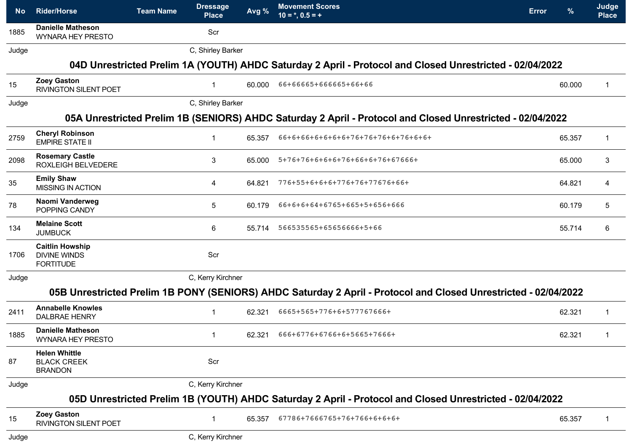| <b>No</b> | <b>Rider/Horse</b>                                                | <b>Team Name</b> | <b>Dressage</b><br><b>Place</b> | Avg %  | <b>Movement Scores</b><br>$10 = *, 0.5 = +$                                                                     | <b>Error</b> | %      | Judge<br><b>Place</b> |
|-----------|-------------------------------------------------------------------|------------------|---------------------------------|--------|-----------------------------------------------------------------------------------------------------------------|--------------|--------|-----------------------|
| 1885      | <b>Danielle Matheson</b><br><b>WYNARA HEY PRESTO</b>              |                  | Scr                             |        |                                                                                                                 |              |        |                       |
| Judge     |                                                                   |                  | C, Shirley Barker               |        |                                                                                                                 |              |        |                       |
|           |                                                                   |                  |                                 |        | 04D Unrestricted Prelim 1A (YOUTH) AHDC Saturday 2 April - Protocol and Closed Unrestricted - 02/04/2022        |              |        |                       |
| 15        | <b>Zoey Gaston</b><br>RIVINGTON SILENT POET                       |                  | $\mathbf{1}$                    | 60.000 | 66+66665+666665+66+66                                                                                           |              | 60.000 | $\mathbf{1}$          |
| Judge     |                                                                   |                  | C, Shirley Barker               |        |                                                                                                                 |              |        |                       |
|           |                                                                   |                  |                                 |        | 05A Unrestricted Prelim 1B (SENIORS) AHDC Saturday 2 April - Protocol and Closed Unrestricted - 02/04/2022      |              |        |                       |
| 2759      | <b>Cheryl Robinson</b><br><b>EMPIRE STATE II</b>                  |                  | $\mathbf{1}$                    | 65.357 | 66+6+66+6+6+6+6+76+76+76+6+76+6+6+                                                                              |              | 65.357 | $\mathbf{1}$          |
| 2098      | <b>Rosemary Castle</b><br>ROXLEIGH BELVEDERE                      |                  | 3                               | 65.000 | 5+76+76+6+6+6+76+66+6+76+67666+                                                                                 |              | 65.000 | 3                     |
| 35        | <b>Emily Shaw</b><br><b>MISSING IN ACTION</b>                     |                  | 4                               | 64.821 | 776+55+6+6+6+776+76+77676+66+                                                                                   |              | 64.821 | 4                     |
| 78        | Naomi Vanderweg<br>POPPING CANDY                                  |                  | 5                               | 60.179 | 66+6+6+64+6765+665+5+656+666                                                                                    |              | 60.179 | $5\phantom{.0}$       |
| 134       | <b>Melaine Scott</b><br><b>JUMBUCK</b>                            |                  | 6                               | 55.714 | 566535565+65656666+5+66                                                                                         |              | 55.714 | 6                     |
| 1706      | <b>Caitlin Howship</b><br><b>DIVINE WINDS</b><br><b>FORTITUDE</b> |                  | Scr                             |        |                                                                                                                 |              |        |                       |
| Judge     |                                                                   |                  | C, Kerry Kirchner               |        |                                                                                                                 |              |        |                       |
|           |                                                                   |                  |                                 |        | 05B Unrestricted Prelim 1B PONY (SENIORS) AHDC Saturday 2 April - Protocol and Closed Unrestricted - 02/04/2022 |              |        |                       |
| 2411      | <b>Annabelle Knowles</b><br><b>DALBRAE HENRY</b>                  |                  | $\mathbf{1}$                    | 62.321 | 6665+565+776+6+577767666+                                                                                       |              | 62.321 | $\mathbf{1}$          |
| 1885      | <b>Danielle Matheson</b><br><b>WYNARA HEY PRESTO</b>              |                  |                                 | 62.321 | 666+6776+6766+6+5665+7666+                                                                                      |              | 62.321 | $\mathbf{1}$          |
| 87        | <b>Helen Whittle</b><br><b>BLACK CREEK</b><br><b>BRANDON</b>      |                  | Scr                             |        |                                                                                                                 |              |        |                       |
| Judge     |                                                                   |                  | C, Kerry Kirchner               |        |                                                                                                                 |              |        |                       |
|           |                                                                   |                  |                                 |        | 05D Unrestricted Prelim 1B (YOUTH) AHDC Saturday 2 April - Protocol and Closed Unrestricted - 02/04/2022        |              |        |                       |
| 15        | <b>Zoey Gaston</b><br>RIVINGTON SILENT POET                       |                  | $\mathbf 1$                     | 65.357 | 67786+7666765+76+766+6+6+6+                                                                                     |              | 65.357 | -1                    |
| Judge     |                                                                   |                  | C, Kerry Kirchner               |        |                                                                                                                 |              |        |                       |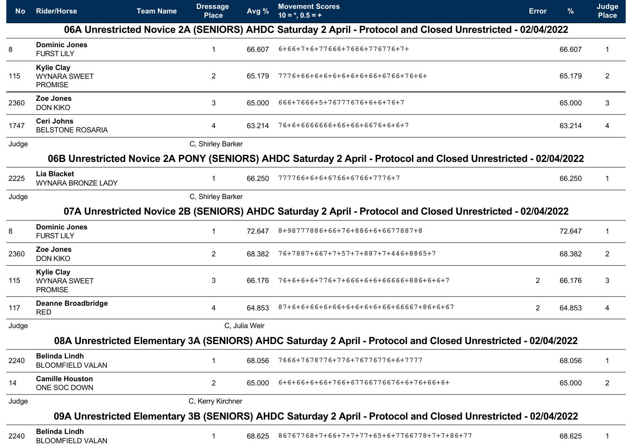| <b>No</b> | <b>Rider/Horse</b>                                         | <b>Team Name</b> | <b>Dressage</b><br><b>Place</b> | Avg %         | <b>Movement Scores</b><br>$10 = *, 0.5 = +$                                                                     | <b>Error</b>   | %      | Judge<br><b>Place</b> |
|-----------|------------------------------------------------------------|------------------|---------------------------------|---------------|-----------------------------------------------------------------------------------------------------------------|----------------|--------|-----------------------|
|           |                                                            |                  |                                 |               | 06A Unrestricted Novice 2A (SENIORS) AHDC Saturday 2 April - Protocol and Closed Unrestricted - 02/04/2022      |                |        |                       |
| 8         | <b>Dominic Jones</b><br><b>FURST LILY</b>                  |                  |                                 | 66.607        | 6+66+7+6+77666+7666+776776+7+                                                                                   |                | 66.607 | $\mathbf 1$           |
| 115       | <b>Kylie Clay</b><br><b>WYNARA SWEET</b><br><b>PROMISE</b> |                  | $\overline{2}$                  | 65.179        | 7776+66+6+6+6+6+6+6+66+6766+76+6+                                                                               |                | 65.179 | 2                     |
| 2360      | Zoe Jones<br><b>DON KIKO</b>                               |                  | 3                               | 65.000        | 666+7666+5+76777676+6+6+76+7                                                                                    |                | 65.000 | 3                     |
| 1747      | <b>Ceri Johns</b><br><b>BELSTONE ROSARIA</b>               |                  | 4                               | 63.214        | 76+6+6666666+66+66+6676+6+6+7                                                                                   |                | 63.214 | 4                     |
| Judge     |                                                            |                  | C, Shirley Barker               |               |                                                                                                                 |                |        |                       |
|           |                                                            |                  |                                 |               | 06B Unrestricted Novice 2A PONY (SENIORS) AHDC Saturday 2 April - Protocol and Closed Unrestricted - 02/04/2022 |                |        |                       |
| 2225      | Lia Blacket<br><b>WYNARA BRONZE LADY</b>                   |                  | $\mathbf 1$                     | 66.250        | 777766+6+6+6766+6766+7776+7                                                                                     |                | 66.250 | $\mathbf 1$           |
| Judge     |                                                            |                  | C, Shirley Barker               |               |                                                                                                                 |                |        |                       |
|           |                                                            |                  |                                 |               | 07A Unrestricted Novice 2B (SENIORS) AHDC Saturday 2 April - Protocol and Closed Unrestricted - 02/04/2022      |                |        |                       |
| 8         | <b>Dominic Jones</b><br><b>FURST LILY</b>                  |                  |                                 | 72.647        | 8+98777886+66+76+886+6+6677887+8                                                                                |                | 72.647 | 1                     |
| 2360      | Zoe Jones<br><b>DON KIKO</b>                               |                  | $\overline{2}$                  | 68.382        | 76+7887+667+7+57+7+887+7+446+8865+7                                                                             |                | 68.382 | $\overline{c}$        |
| 115       | <b>Kylie Clay</b><br><b>WYNARA SWEET</b><br><b>PROMISE</b> |                  | 3                               | 66.176        | 76+6+6+6+776+7+666+6+6+66666+886+6+6+7                                                                          | 2              | 66.176 | 3                     |
| 117       | <b>Deanne Broadbridge</b><br><b>RED</b>                    |                  | 4                               | 64.853        | 87+6+6+66+6+66+6+6+6+6+66+66667+86+6+67                                                                         | $\overline{2}$ | 64.853 | 4                     |
| Judge     |                                                            |                  |                                 | C, Julia Weir |                                                                                                                 |                |        |                       |
|           |                                                            |                  |                                 |               | 08A Unrestricted Elementary 3A (SENIORS) AHDC Saturday 2 April - Protocol and Closed Unrestricted - 02/04/2022  |                |        |                       |
| 2240      | <b>Belinda Lindh</b><br><b>BLOOMFIELD VALAN</b>            |                  |                                 | 68.056        | 7666+7678776+776+76776776+6+7777                                                                                |                | 68.056 | $\mathbf{1}$          |
| 14        | <b>Camille Houston</b><br>ONE SOC DOWN                     |                  | $\overline{2}$                  | 65.000        | 6+6+66+6+66+766+67766776676+6+76+66+6+                                                                          |                | 65.000 | $\overline{2}$        |
| Judge     |                                                            |                  | C, Kerry Kirchner               |               |                                                                                                                 |                |        |                       |
|           |                                                            |                  |                                 |               | 09A Unrestricted Elementary 3B (SENIORS) AHDC Saturday 2 April - Protocol and Closed Unrestricted - 02/04/2022  |                |        |                       |
| 2240      | <b>Belinda Lindh</b><br><b>BLOOMFIELD VALAN</b>            |                  |                                 | 68.625        | 86767768+7+66+7+7+77+65+6+7766778+7+7+86+77                                                                     |                | 68.625 | 1                     |